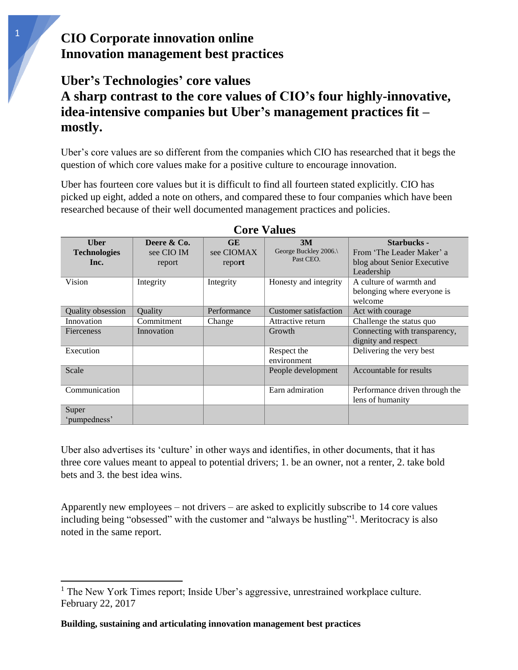## **CIO Corporate innovation online Innovation management best practices**

## **Uber's Technologies' core values A sharp contrast to the core values of CIO's four highly-innovative, idea-intensive companies but Uber's management practices fit – mostly.**

Uber's core values are so different from the companies which CIO has researched that it begs the question of which core values make for a positive culture to encourage innovation.

Uber has fourteen core values but it is difficult to find all fourteen stated explicitly. CIO has picked up eight, added a note on others, and compared these to four companies which have been researched because of their well documented management practices and policies.

| <b>Core Values</b>                          |                                     |                                   |                                          |                                                                                              |  |  |  |  |
|---------------------------------------------|-------------------------------------|-----------------------------------|------------------------------------------|----------------------------------------------------------------------------------------------|--|--|--|--|
| <b>U</b> ber<br><b>Technologies</b><br>Inc. | Deere & Co.<br>see CIO IM<br>report | <b>GE</b><br>see CIOMAX<br>report | 3M<br>George Buckley 2006.\<br>Past CEO. | <b>Starbucks -</b><br>From 'The Leader Maker' a<br>blog about Senior Executive<br>Leadership |  |  |  |  |
| Vision                                      | Integrity                           | Integrity                         | Honesty and integrity                    | A culture of warmth and<br>belonging where everyone is<br>welcome                            |  |  |  |  |
| Quality obsession                           | Ouality                             | Performance                       | Customer satisfaction                    | Act with courage                                                                             |  |  |  |  |
| Innovation                                  | Commitment                          | Change                            | Attractive return                        | Challenge the status quo                                                                     |  |  |  |  |
| <b>Fierceness</b>                           | Innovation                          |                                   | Growth                                   | Connecting with transparency,<br>dignity and respect                                         |  |  |  |  |
| Execution                                   |                                     |                                   | Respect the<br>environment               | Delivering the very best                                                                     |  |  |  |  |
| Scale                                       |                                     |                                   | People development                       | Accountable for results                                                                      |  |  |  |  |
| Communication                               |                                     |                                   | Earn admiration                          | Performance driven through the<br>lens of humanity                                           |  |  |  |  |
| Super                                       |                                     |                                   |                                          |                                                                                              |  |  |  |  |
| 'pumpedness'                                |                                     |                                   |                                          |                                                                                              |  |  |  |  |

Uber also advertises its 'culture' in other ways and identifies, in other documents, that it has three core values meant to appeal to potential drivers; 1. be an owner, not a renter, 2. take bold bets and 3. the best idea wins.

Apparently new employees – not drivers – are asked to explicitly subscribe to 14 core values including being "obsessed" with the customer and "always be hustling"<sup>1</sup>. Meritocracy is also noted in the same report.

 $\overline{\phantom{a}}$ 

<sup>&</sup>lt;sup>1</sup> The New York Times report; Inside Uber's aggressive, unrestrained workplace culture. February 22, 2017